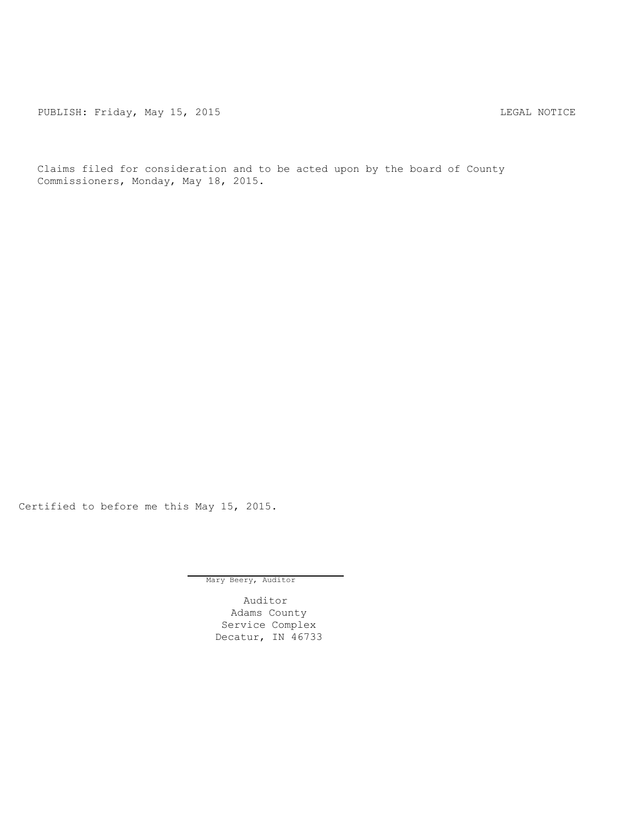PUBLISH: Friday, May 15, 2015 LEGAL NOTICE

Claims filed for consideration and to be acted upon by the board of County Commissioners, Monday, May 18, 2015.

Certified to before me this May 15, 2015.

Mary Beery, Auditor

Auditor Adams County Service Complex Decatur, IN 46733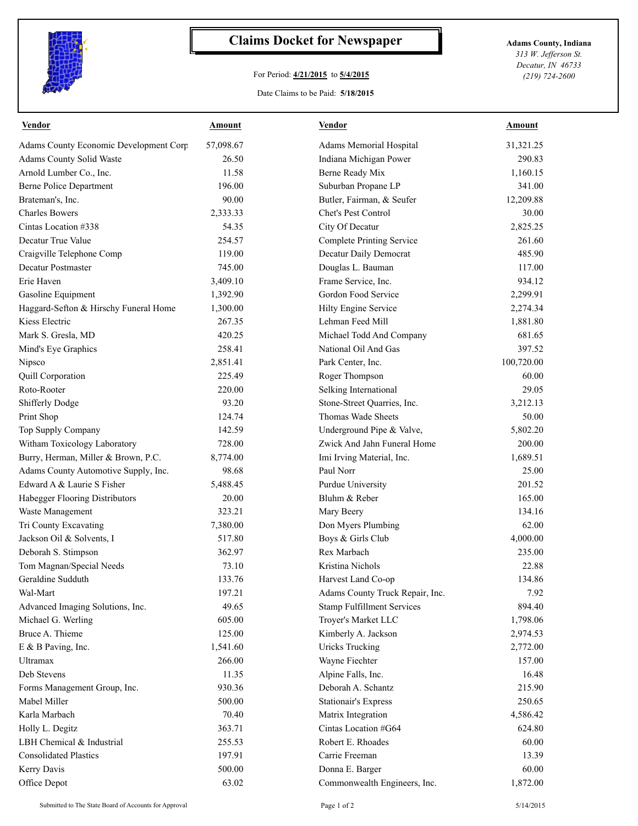

## **Claims Docket for Newspaper Adams County, Indiana**

## For Period: **4/21/2015** to **5/4/2015**

Date Claims to be Paid: **5/18/2015**

*313 W. Jefferson St. Decatur, IN 46733 (219) 724-2600*

| Vendor                                        | <b>Amount</b> | <b>Vendor</b>                     | Amount     |
|-----------------------------------------------|---------------|-----------------------------------|------------|
| <b>Adams County Economic Development Corp</b> | 57,098.67     | Adams Memorial Hospital           | 31,321.25  |
| <b>Adams County Solid Waste</b>               | 26.50         | Indiana Michigan Power            | 290.83     |
| Arnold Lumber Co., Inc.                       | 11.58         | Berne Ready Mix                   | 1,160.15   |
| <b>Berne Police Department</b>                | 196.00        | Suburban Propane LP               | 341.00     |
| Brateman's, Inc.                              | 90.00         | Butler, Fairman, & Seufer         | 12,209.88  |
| <b>Charles Bowers</b>                         | 2,333.33      | Chet's Pest Control               | 30.00      |
| Cintas Location #338                          | 54.35         | City Of Decatur                   | 2,825.25   |
| Decatur True Value                            | 254.57        | <b>Complete Printing Service</b>  | 261.60     |
| Craigville Telephone Comp                     | 119.00        | Decatur Daily Democrat            | 485.90     |
| Decatur Postmaster                            | 745.00        | Douglas L. Bauman                 | 117.00     |
| Erie Haven                                    | 3,409.10      | Frame Service, Inc.               | 934.12     |
| Gasoline Equipment                            | 1,392.90      | Gordon Food Service               | 2,299.91   |
| Haggard-Sefton & Hirschy Funeral Home         | 1,300.00      | Hilty Engine Service              | 2,274.34   |
| Kiess Electric                                | 267.35        | Lehman Feed Mill                  | 1,881.80   |
| Mark S. Gresla, MD                            | 420.25        | Michael Todd And Company          | 681.65     |
| Mind's Eye Graphics                           | 258.41        | National Oil And Gas              | 397.52     |
| Nipsco                                        | 2,851.41      | Park Center, Inc.                 | 100,720.00 |
| Quill Corporation                             | 225.49        | Roger Thompson                    | 60.00      |
| Roto-Rooter                                   | 220.00        | Selking International             | 29.05      |
| <b>Shifferly Dodge</b>                        | 93.20         | Stone-Street Quarries, Inc.       | 3,212.13   |
| Print Shop                                    | 124.74        | Thomas Wade Sheets                | 50.00      |
| Top Supply Company                            | 142.59        | Underground Pipe & Valve,         | 5,802.20   |
| Witham Toxicology Laboratory                  | 728.00        | Zwick And Jahn Funeral Home       | 200.00     |
| Burry, Herman, Miller & Brown, P.C.           | 8,774.00      | Imi Irving Material, Inc.         | 1,689.51   |
| Adams County Automotive Supply, Inc.          | 98.68         | Paul Norr                         | 25.00      |
| Edward A & Laurie S Fisher                    | 5,488.45      | Purdue University                 | 201.52     |
| Habegger Flooring Distributors                | 20.00         | Bluhm & Reber                     | 165.00     |
| Waste Management                              | 323.21        | Mary Beery                        | 134.16     |
| Tri County Excavating                         | 7,380.00      | Don Myers Plumbing                | 62.00      |
| Jackson Oil & Solvents, I                     | 517.80        | Boys & Girls Club                 | 4,000.00   |
| Deborah S. Stimpson                           | 362.97        | Rex Marbach                       | 235.00     |
| Tom Magnan/Special Needs                      | 73.10         | Kristina Nichols                  | 22.88      |
| Geraldine Sudduth                             | 133.76        | Harvest Land Co-op                | 134.86     |
| Wal-Mart                                      | 197.21        | Adams County Truck Repair, Inc.   | 7.92       |
| Advanced Imaging Solutions, Inc.              | 49.65         | <b>Stamp Fulfillment Services</b> | 894.40     |
| Michael G. Werling                            | 605.00        | Troyer's Market LLC               | 1,798.06   |
| Bruce A. Thieme                               | 125.00        | Kimberly A. Jackson               | 2,974.53   |
| E & B Paving, Inc.                            | 1,541.60      | <b>Uricks Trucking</b>            | 2,772.00   |
| Ultramax                                      | 266.00        | Wayne Fiechter                    | 157.00     |
| Deb Stevens                                   | 11.35         | Alpine Falls, Inc.                | 16.48      |
| Forms Management Group, Inc.                  | 930.36        | Deborah A. Schantz                | 215.90     |
| Mabel Miller                                  | 500.00        | <b>Stationair's Express</b>       | 250.65     |
| Karla Marbach                                 | 70.40         | Matrix Integration                | 4,586.42   |
| Holly L. Degitz                               | 363.71        | Cintas Location #G64              | 624.80     |
| LBH Chemical & Industrial                     | 255.53        | Robert E. Rhoades                 | 60.00      |
| <b>Consolidated Plastics</b>                  | 197.91        | Carrie Freeman                    | 13.39      |
| Kerry Davis                                   | 500.00        | Donna E. Barger                   | 60.00      |
|                                               |               |                                   |            |